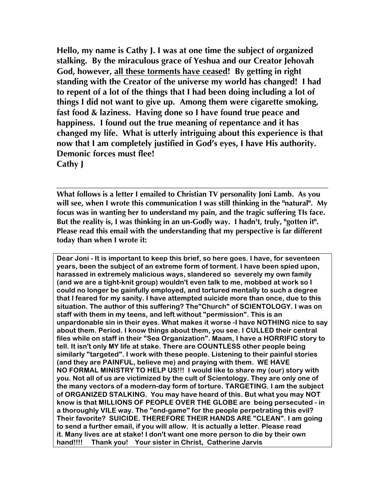**Hello, my name is Cathy J. I was at one time the subject of organized stalking. By the miraculous grace of Yeshua and our Creator Jehovah God, however, all these torments have ceased! By getting in right standing with the Creator of the universe my world has changed! I had to repent of a lot of the things that I had been doing including a lot of things I did not want to give up. Among them were cigarette smoking, fast food & laziness. Having done so I have found true peace and happiness. I found out the true meaning of repentance and it has changed my life. What is utterly intriguing about this experience is that now that I am completely justified in God's eyes, I have His authority. Demonic forces must flee! Cathy J**

**What follows is a letter I emailed to Christian TV personality Joni Lamb. As you will see, when I wrote this communication I was still thinking in the "natural". My focus was in wanting her to understand my pain, and the tragic suffering TIs face. But the reality is, I was thinking in an un-Godly way. I hadn't, truly, "gotten it". Please read this email with the understanding that my perspective is far different today than when I wrote it:**

**Dear Joni - It is important to keep this brief, so here goes. I have, for seventeen years, been the subject of an extreme form of torment. I have been spied upon, harassed in extremely malicious ways, slandered so severely my own family (and we are a tight-knit group) wouldn't even talk to me, mobbed at work so I could no longer be gainfully employed, and tortured mentally to such a degree that I feared for my sanity. I have attempted suicide more than once, due to this situation. The author of this suffering? The"Church" of SCIENTOLOGY. I was on staff with them in my teens, and left without "permission". This is an unpardonable sin in their eyes. What makes it worse -I have NOTHING nice to say about them. Period. I know things about them, you see. I CULLED their central files while on staff in their "Sea Organization". Maam, I have a HORRIFIC story to tell. It isn't only MY life at stake. There are COUNTLESS other people being similarly "targeted". I work with these people. Listening to their painful stories (and they are PAINFUL, believe me) and praying with them. WE HAVE NO FORMAL MINISTRY TO HELP US!!! I would like to share my (our) story with you. Not all of us are victimized by the cult of Scientology. They are only one of the many vectors of a modern-day form of torture. TARGETING. I am the subject of ORGANIZED STALKING. You may have heard of this. But what you may NOT know is that MILLIONS OF PEOPLE OVER THE GLOBE are being persecuted - in a thoroughly VILE way. The "end-game" for the people perpetrating this evil? Their favorite? SUICIDE. THEREFORE THEIR HANDS ARE "CLEAN". I am going to send a further email, if you will allow. It is actually a letter. Please read it. Many lives are at stake! I don't want one more person to die by their own hand!!!! Thank you! Your sister in Christ, Catherine Jarvis**